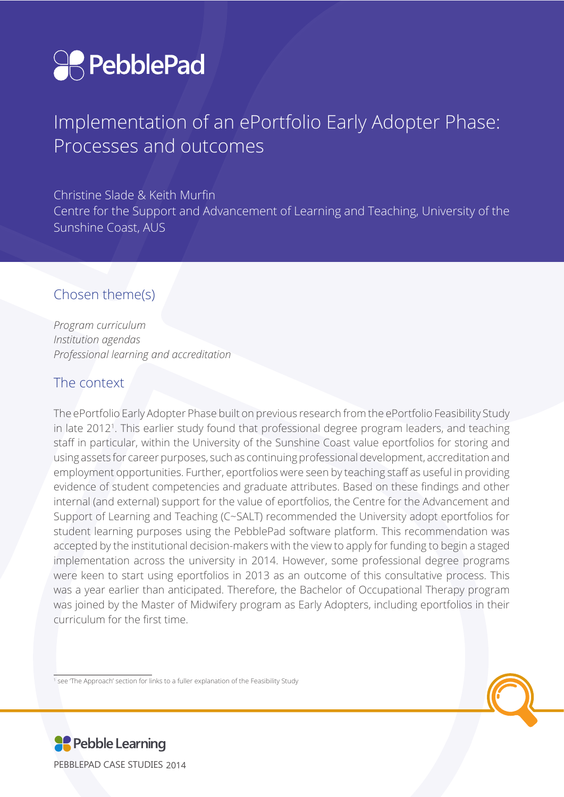

# Implementation of an ePortfolio Early Adopter Phase: Processes and outcomes

Christine Slade & Keith Murfin Centre for the Support and Advancement of Learning and Teaching, University of the Sunshine Coast, AUS

## Chosen theme(s)

*Program curriculum Institution agendas Professional learning and accreditation*

### The context

The ePortfolio Early Adopter Phase built on previous research from the ePortfolio Feasibility Study in late 2012<sup>1</sup>. This earlier study found that professional degree program leaders, and teaching staff in particular, within the University of the Sunshine Coast value eportfolios for storing and using assets for career purposes, such as continuing professional development, accreditation and employment opportunities. Further, eportfolios were seen by teaching staff as useful in providing evidence of student competencies and graduate attributes. Based on these findings and other internal (and external) support for the value of eportfolios, the Centre for the Advancement and Support of Learning and Teaching (C~SALT) recommended the University adopt eportfolios for student learning purposes using the PebblePad software platform. This recommendation was accepted by the institutional decision-makers with the view to apply for funding to begin a staged implementation across the university in 2014. However, some professional degree programs were keen to start using eportfolios in 2013 as an outcome of this consultative process. This was a year earlier than anticipated. Therefore, the Bachelor of Occupational Therapy program was joined by the Master of Midwifery program as Early Adopters, including eportfolios in their curriculum for the first time.

1 see 'The Approach' section for links to a fuller explanation of the Feasibility Study



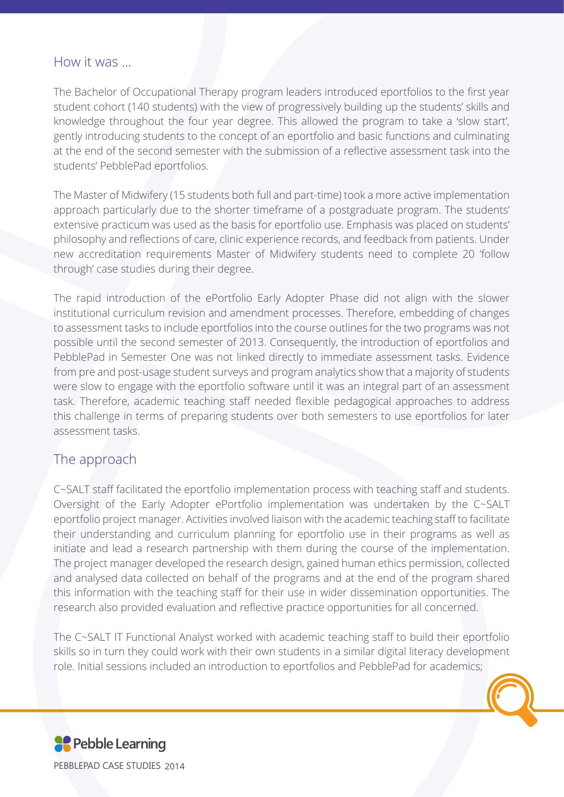#### How it was …

The Bachelor of Occupational Therapy program leaders introduced eportfolios to the first year student cohort (140 students) with the view of progressively building up the students' skills and knowledge throughout the four year degree. This allowed the program to take a 'slow start', gently introducing students to the concept of an eportfolio and basic functions and culminating at the end of the second semester with the submission of a reflective assessment task into the students' PebblePad eportfolios.

The Master of Midwifery (15 students both full and part-time) took a more active implementation approach particularly due to the shorter timeframe of a postgraduate program. The students' extensive practicum was used as the basis for eportfolio use. Emphasis was placed on students' philosophy and reflections of care, clinic experience records, and feedback from patients. Under new accreditation requirements Master of Midwifery students need to complete 20 'follow through' case studies during their degree.

The rapid introduction of the ePortfolio Early Adopter Phase did not align with the slower institutional curriculum revision and amendment processes. Therefore, embedding of changes to assessment tasks to include eportfolios into the course outlines for the two programs was not possible until the second semester of 2013. Consequently, the introduction of eportfolios and PebblePad in Semester One was not linked directly to immediate assessment tasks. Evidence from pre and post-usage student surveys and program analytics show that a majority of students were slow to engage with the eportfolio software until it was an integral part of an assessment task. Therefore, academic teaching staff needed flexible pedagogical approaches to address this challenge in terms of preparing students over both semesters to use eportfolios for later assessment tasks.

## The approach

C~SALT staff facilitated the eportfolio implementation process with teaching staff and students. Oversight of the Early Adopter ePortfolio implementation was undertaken by the C~SALT eportfolio project manager. Activities involved liaison with the academic teaching staff to facilitate their understanding and curriculum planning for eportfolio use in their programs as well as initiate and lead a research partnership with them during the course of the implementation. The project manager developed the research design, gained human ethics permission, collected and analysed data collected on behalf of the programs and at the end of the program shared this information with the teaching staff for their use in wider dissemination opportunities. The

research also provided evaluation and reflective practice opportunities for all concerned.

The C~SALT IT Functional Analyst worked with academic teaching staff to build their eportfolio skills so in turn they could work with their own students in a similar digital literacy development role. Initial sessions included an introduction to eportfolios and PebblePad for academics;

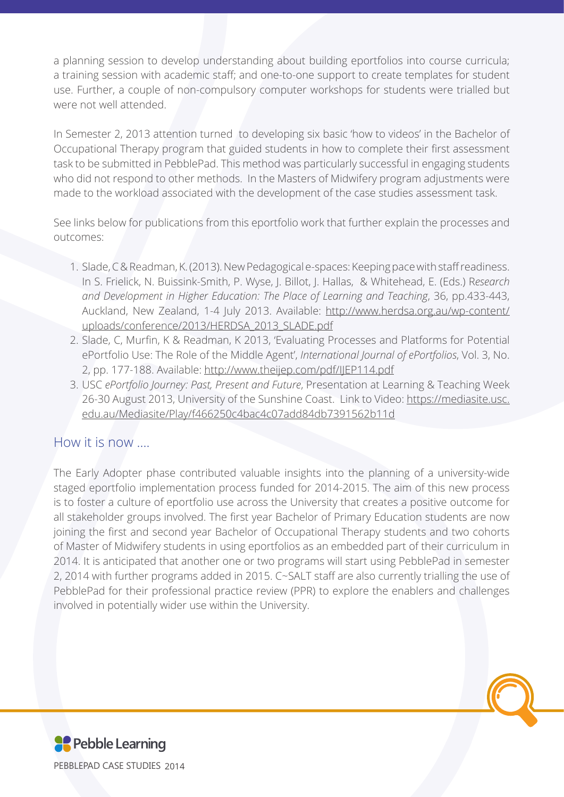a planning session to develop understanding about building eportfolios into course curricula; a training session with academic staff; and one-to-one support to create templates for student use. Further, a couple of non-compulsory computer workshops for students were trialled but were not well attended.

In Semester 2, 2013 attention turned to developing six basic 'how to videos' in the Bachelor of Occupational Therapy program that guided students in how to complete their first assessment task to be submitted in PebblePad. This method was particularly successful in engaging students who did not respond to other methods. In the Masters of Midwifery program adjustments were made to the workload associated with the development of the case studies assessment task.

See links below for publications from this eportfolio work that further explain the processes and outcomes:

- 1. Slade, C & Readman, K. (2013). New Pedagogical e-spaces: Keeping pace with staff readiness. In S. Frielick, N. Buissink-Smith, P. Wyse, J. Billot, J. Hallas, & Whitehead, E. (Eds.) R*esearch and Development in Higher Education: The Place of Learning and Teaching*, 36, pp.433-443, Auckland, New Zealand, 1-4 July 2013. Available: [http://www.herdsa.org.au/wp-content/](http://www.herdsa.org.au/wp-content/uploads/conference/2013/HERDSA_2013_SLADE.pdf) [uploads/conference/2013/HERDSA\\_2013\\_SLADE.pdf](http://www.herdsa.org.au/wp-content/uploads/conference/2013/HERDSA_2013_SLADE.pdf)
- 2. Slade, C, Murfin, K & Readman, K 2013, 'Evaluating Processes and Platforms for Potential ePortfolio Use: The Role of the Middle Agent', *International Journal of ePortfolios*, Vol. 3, No. 2, pp. 177-188. Available:<http://www.theijep.com/pdf/IJEP114.pdf>
- 3. USC *ePortfolio Journey: Past, Present and Future*, Presentation at Learning & Teaching Week 26-30 August 2013, University of the Sunshine Coast. Link to Video: [https://mediasite.usc.](https://mediasite.usc.edu.au/Mediasite/Play/f466250c4bac4c07add84db7391562b11d) [edu.au/Mediasite/Play/f466250c4bac4c07add84db7391562b11d](https://mediasite.usc.edu.au/Mediasite/Play/f466250c4bac4c07add84db7391562b11d)

#### How it is now ….

The Early Adopter phase contributed valuable insights into the planning of a university-wide staged eportfolio implementation process funded for 2014-2015. The aim of this new process is to foster a culture of eportfolio use across the University that creates a positive outcome for all stakeholder groups involved. The first year Bachelor of Primary Education students are now joining the first and second year Bachelor of Occupational Therapy students and two cohorts of Master of Midwifery students in using eportfolios as an embedded part of their curriculum in 2014. It is anticipated that another one or two programs will start using PebblePad in semester 2, 2014 with further programs added in 2015. C~SALT staff are also currently trialling the use of PebblePad for their professional practice review (PPR) to explore the enablers and challenges involved in potentially wider use within the University.

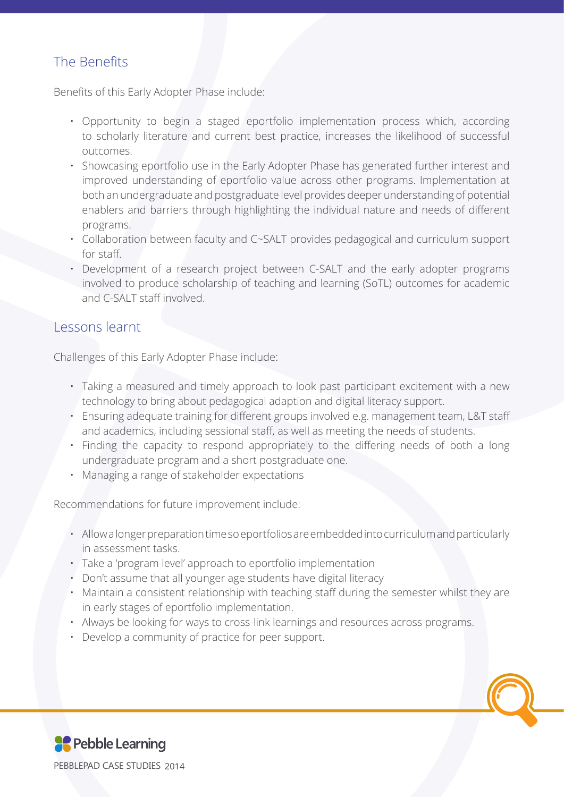# The Benefits

Benefits of this Early Adopter Phase include:

- Opportunity to begin a staged eportfolio implementation process which, according to scholarly literature and current best practice, increases the likelihood of successful outcomes.
- Showcasing eportfolio use in the Early Adopter Phase has generated further interest and improved understanding of eportfolio value across other programs. Implementation at both an undergraduate and postgraduate level provides deeper understanding of potential enablers and barriers through highlighting the individual nature and needs of different programs.
- Collaboration between faculty and C~SALT provides pedagogical and curriculum support for staff.
- Development of a research project between C-SALT and the early adopter programs involved to produce scholarship of teaching and learning (SoTL) outcomes for academic and C-SALT staff involved.

### Lessons learnt

Challenges of this Early Adopter Phase include:

- Taking a measured and timely approach to look past participant excitement with a new technology to bring about pedagogical adaption and digital literacy support.
- Ensuring adequate training for different groups involved e.g. management team, L&T staff and academics, including sessional staff, as well as meeting the needs of students.
- Finding the capacity to respond appropriately to the differing needs of both a long undergraduate program and a short postgraduate one.
- Managing a range of stakeholder expectations

Recommendations for future improvement include:

- Allow a longer preparation time so eportfolios are embedded into curriculum and particularly in assessment tasks.
- Take a 'program level' approach to eportfolio implementation
- Don't assume that all younger age students have digital literacy
- Maintain a consistent relationship with teaching staff during the semester whilst they are
	- in early stages of eportfolio implementation.
- Always be looking for ways to cross-link learnings and resources across programs.
- Develop a community of practice for peer support.